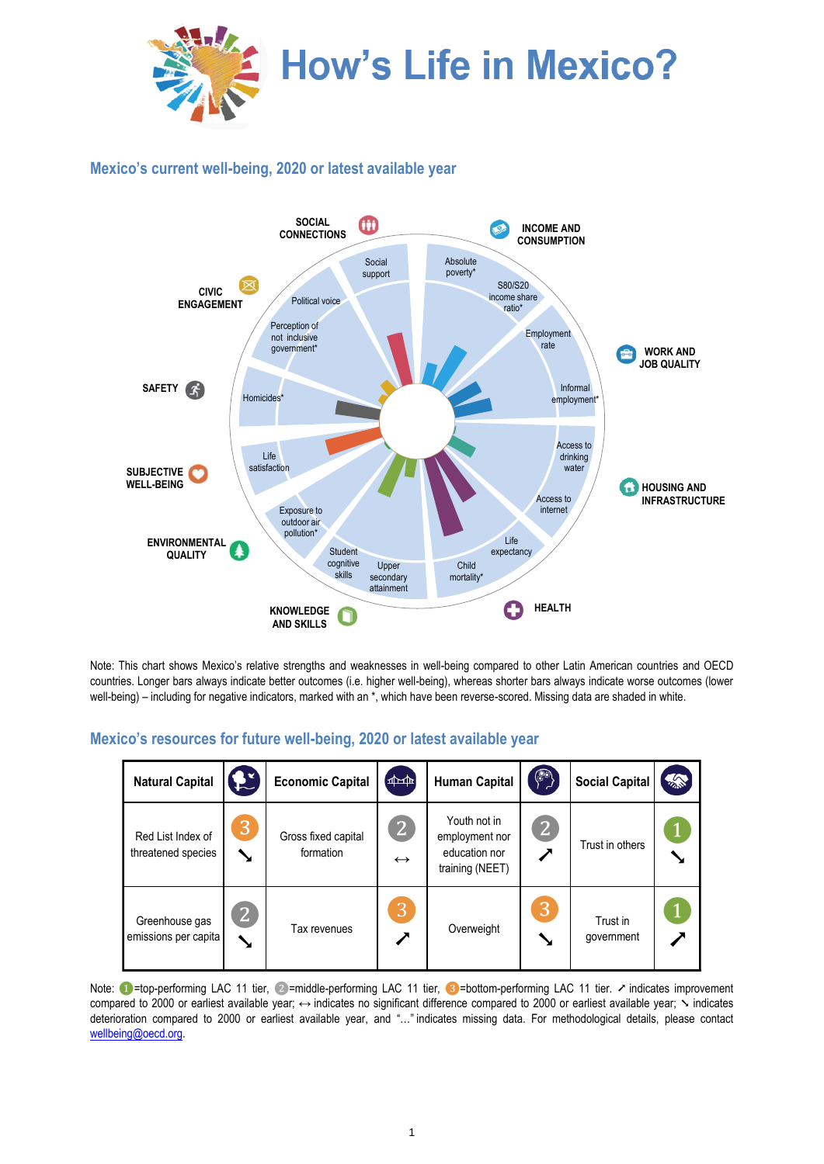

## **Mexico's current well-being, 2020 or latest available year**



Note: This chart shows Mexico's relative strengths and weaknesses in well-being compared to other Latin American countries and OECD countries. Longer bars always indicate better outcomes (i.e. higher well-being), whereas shorter bars always indicate worse outcomes (lower well-being) – including for negative indicators, marked with an \*, which have been reverse-scored. Missing data are shaded in white.

## **Mexico's resources for future well-being, 2020 or latest available year**

| <b>Natural Capital</b>                  | £ž              | <b>Economic Capital</b>          | $\frac{1}{2}$                       | <b>Human Capital</b>                                               | $\left( \begin{matrix} 1 & 1 \\ 1 & 1 \end{matrix} \right)$ | <b>Social Capital</b>  | 念 |
|-----------------------------------------|-----------------|----------------------------------|-------------------------------------|--------------------------------------------------------------------|-------------------------------------------------------------|------------------------|---|
| Red List Index of<br>threatened species | 3<br>↘          | Gross fixed capital<br>formation | $\overline{2}$<br>$\leftrightarrow$ | Youth not in<br>employment nor<br>education nor<br>training (NEET) | $\overline{2}$<br>╱                                         | Trust in others        |   |
| Greenhouse gas<br>emissions per capita  | $\bf{[2]}$<br>↘ | Tax revenues                     | Β,                                  | Overweight                                                         | 3                                                           | Trust in<br>qovernment |   |

Note: ●=top-performing LAC 11 tier, ②=middle-performing LAC 11 tier, ③=bottom-performing LAC 11 tier. ↗ indicates improvement compared to 2000 or earliest available year; ↔ indicates no significant difference compared to 2000 or earliest available year; ╲ indicates deterioration compared to 2000 or earliest available year, and "…" indicates missing data. For methodological details, please contact [wellbeing@oecd.org.](mailto:wellbeing@oecd.org)